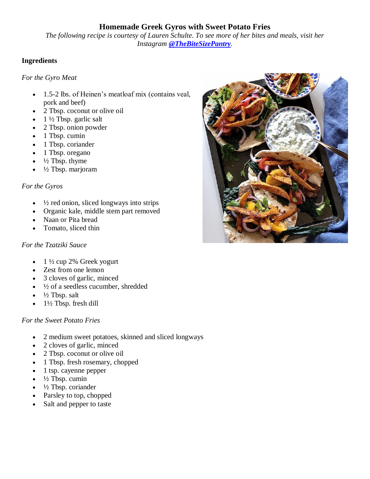# **Homemade Greek Gyros with Sweet Potato Fries**

*The following recipe is courtesy of Lauren Schulte. To see more of her bites and meals, visit her Instagram [@TheBiteSizePantry](https://www.instagram.com/thebitesizepantry/).*

# **Ingredients**

#### *For the Gyro Meat*

- 1.5-2 lbs. of Heinen's meatloaf mix (contains veal, pork and beef)
- 2 Tbsp. coconut or olive oil
- 1 ½ Tbsp. garlic salt
- 2 Tbsp. onion powder
- 1 Tbsp. cumin
- 1 Tbsp. coriander
- 1 Tbsp. oregano
- $\frac{1}{2}$  Tbsp. thyme
- ½ Tbsp. marjoram

# *For the Gyros*

- $\cdot$   $\frac{1}{2}$  red onion, sliced longways into strips
- Organic kale, middle stem part removed
- Naan or Pita bread
- Tomato, sliced thin

# *For the Tzatziki Sauce*

- 1 ½ cup 2% Greek yogurt
- Zest from one lemon
- 3 cloves of garlic, minced
- $\cdot$   $\frac{1}{2}$  of a seedless cucumber, shredded
- $\bullet$   $\frac{1}{2}$  Tbsp. salt
- $\bullet$  1½ Tbsp. fresh dill

# *For the Sweet Potato Fries*

- 2 medium sweet potatoes, skinned and sliced longways
- 2 cloves of garlic, minced
- 2 Tbsp. coconut or olive oil
- 1 Tbsp. fresh rosemary, chopped
- 1 tsp. cayenne pepper
- ½ Tbsp. cumin
- ½ Tbsp. coriander
- Parsley to top, chopped
- Salt and pepper to taste